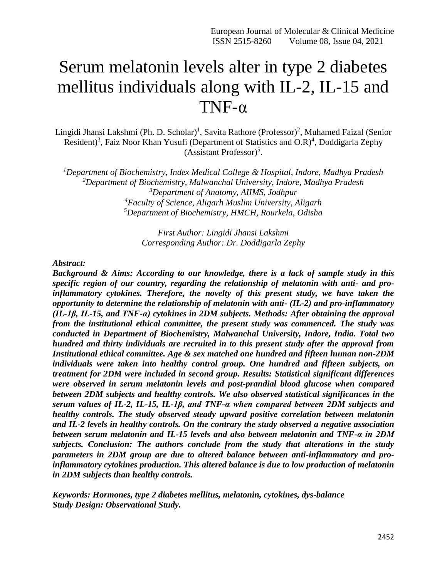# Serum melatonin levels alter in type 2 diabetes mellitus individuals along with IL-2, IL-15 and TNF-α

Lingidi Jhansi Lakshmi (Ph. D. Scholar)<sup>1</sup>, Savita Rathore (Professor)<sup>2</sup>, Muhamed Faizal (Senior Resident)<sup>3</sup>, Faiz Noor Khan Yusufi (Department of Statistics and O.R)<sup>4</sup>, Doddigarla Zephy (Assistant Professor) 5 .

*Department of Biochemistry, Index Medical College & Hospital, Indore, Madhya Pradesh Department of Biochemistry, Malwanchal University, Indore, Madhya Pradesh Department of Anatomy, AIIMS, Jodhpur Faculty of Science, Aligarh Muslim University, Aligarh Department of Biochemistry, HMCH, Rourkela, Odisha*

> *First Author: Lingidi Jhansi Lakshmi Corresponding Author: Dr. Doddigarla Zephy*

*Abstract:*

*Background & Aims: According to our knowledge, there is a lack of sample study in this specific region of our country, regarding the relationship of melatonin with anti- and proinflammatory cytokines. Therefore, the novelty of this present study, we have taken the opportunity to determine the relationship of melatonin with anti- (IL-2) and pro-inflammatory (IL-1β, IL-15, and TNF-α) cytokines in 2DM subjects. Methods: After obtaining the approval from the institutional ethical committee, the present study was commenced. The study was conducted in Department of Biochemistry, Malwanchal University, Indore, India. Total two hundred and thirty individuals are recruited in to this present study after the approval from Institutional ethical committee. Age & sex matched one hundred and fifteen human non-2DM individuals were taken into healthy control group. One hundred and fifteen subjects, on treatment for 2DM were included in second group. Results: Statistical significant differences were observed in serum melatonin levels and post-prandial blood glucose when compared between 2DM subjects and healthy controls. We also observed statistical significances in the serum values of IL-2, IL-15, IL-1β, and TNF-α when compared between 2DM subjects and healthy controls. The study observed steady upward positive correlation between melatonin and IL-2 levels in healthy controls. On the contrary the study observed a negative association between serum melatonin and IL-15 levels and also between melatonin and TNF-α in 2DM subjects. Conclusion: The authors conclude from the study that alterations in the study parameters in 2DM group are due to altered balance between anti-inflammatory and proinflammatory cytokines production. This altered balance is due to low production of melatonin in 2DM subjects than healthy controls.*

*Keywords: Hormones, type 2 diabetes mellitus, melatonin, cytokines, dys-balance Study Design: Observational Study.*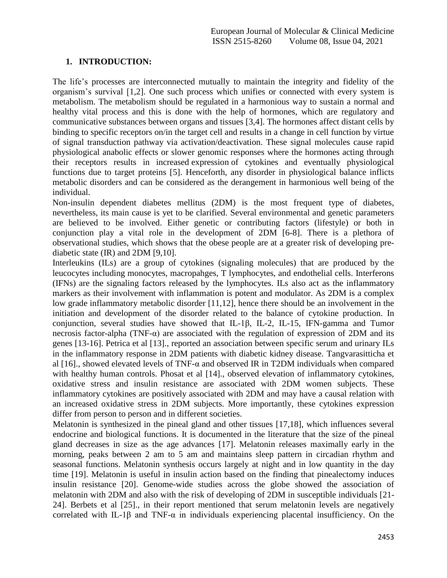## **1. INTRODUCTION:**

The life's processes are interconnected mutually to maintain the integrity and fidelity of the organism's survival [1,2]. One such process which unifies or connected with every system is metabolism. The metabolism should be regulated in a harmonious way to sustain a normal and healthy vital process and this is done with the help of hormones, which are regulatory and communicative substances between organs and tissues [3,4]. The hormones affect distant cells by binding to specific [receptors](https://en.wikipedia.org/wiki/Receptor_(biochemistry)) on/in the target cell and results in a change in cell function by virtue of signal transduction pathway via activation/deactivation. These signal molecules cause rapid physiological anabolic effects or slower genomic responses where the hormones acting through their receptors results in increased [expression](https://en.wikipedia.org/wiki/Gene_expression) of cytokines and eventually physiological functions due to target proteins [5]. Henceforth, any disorder in physiological balance inflicts metabolic disorders and can be considered as the derangement in harmonious well being of the individual.

Non-insulin dependent diabetes mellitus (2DM) is the most frequent type of diabetes, nevertheless, its main cause is yet to be clarified. Several environmental and genetic parameters are believed to be involved. Either genetic or contributing factors (lifestyle) or both in conjunction play a vital role in the development of 2DM [6-8]. There is a plethora of observational studies, which shows that the obese people are at a greater risk of developing prediabetic state (IR) and 2DM [9,10].

Interleukins (ILs) are a group of cytokines (signaling molecules) that are produced by the leucocytes including monocytes, macropahges, T lymphocytes, and endothelial cells. Interferons (IFNs) are the signaling factors released by the lymphocytes. ILs also act as the inflammatory markers as their involvement with inflammation is potent and modulator. As 2DM is a complex low grade inflammatory metabolic disorder [11,12], hence there should be an involvement in the initiation and development of the disorder related to the balance of cytokine production. In conjunction, several studies have showed that IL-1β, IL-2, IL-15, IFN-gamma and Tumor necrosis factor-alpha (TNF- $\alpha$ ) are associated with the regulation of expression of 2DM and its genes [13-16]. Petrica et al [13]., reported an association between specific serum and urinary ILs in the inflammatory response in 2DM patients with diabetic kidney disease. Tangvarasitticha et al [16]., showed elevated levels of TNF- $\alpha$  and observed IR in T2DM individuals when compared with healthy human controls. Phosat et al [14]., observed elevation of inflammatory cytokines, oxidative stress and insulin resistance are associated with 2DM women subjects. These inflammatory cytokines are positively associated with 2DM and may have a causal relation with an increased oxidative stress in 2DM subjects. More importantly, these cytokines expression differ from person to person and in different societies.

Melatonin is synthesized in the pineal gland and other tissues [17,18], which influences several endocrine and biological functions. It is documented in the literature that the size of the pineal gland decreases in size as the age advances [17]. Melatonin releases maximally early in the morning, peaks between 2 am to 5 am and maintains sleep pattern in circadian rhythm and seasonal functions. Melatonin synthesis occurs largely at night and in low quantity in the day time [19]. Melatonin is useful in insulin action based on the finding that pinealectomy induces insulin resistance [20]. Genome-wide studies across the globe showed the association of melatonin with 2DM and also with the risk of developing of 2DM in susceptible individuals [21- 24]. Berbets et al [25]., in their report mentioned that serum melatonin levels are negatively correlated with IL-1 $\beta$  and TNF- $\alpha$  in individuals experiencing placental insufficiency. On the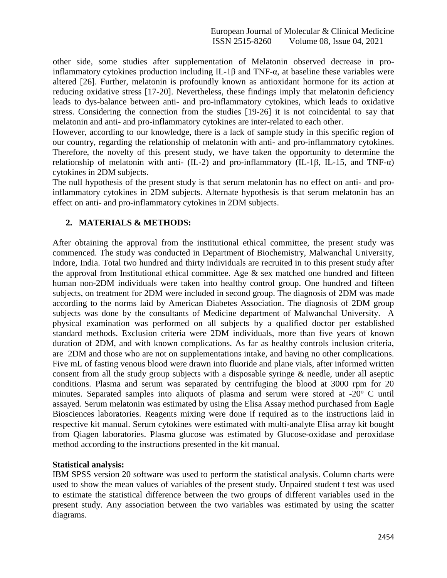other side, some studies after supplementation of Melatonin observed decrease in proinflammatory cytokines production including IL-1β and TNF-α, at baseline these variables were altered [26]. Further, melatonin is profoundly known as antioxidant hormone for its action at reducing oxidative stress [17-20]. Nevertheless, these findings imply that melatonin deficiency leads to dys-balance between anti- and pro-inflammatory cytokines, which leads to oxidative stress. Considering the connection from the studies [19-26] it is not coincidental to say that melatonin and anti- and pro-inflammatory cytokines are inter-related to each other.

However, according to our knowledge, there is a lack of sample study in this specific region of our country, regarding the relationship of melatonin with anti- and pro-inflammatory cytokines. Therefore, the novelty of this present study, we have taken the opportunity to determine the relationship of melatonin with anti- (IL-2) and pro-inflammatory (IL-1β, IL-15, and TNF- $\alpha$ ) cytokines in 2DM subjects.

The null hypothesis of the present study is that serum melatonin has no effect on anti- and proinflammatory cytokines in 2DM subjects. Alternate hypothesis is that serum melatonin has an effect on anti- and pro-inflammatory cytokines in 2DM subjects.

## **2. MATERIALS & METHODS:**

After obtaining the approval from the institutional ethical committee, the present study was commenced. The study was conducted in Department of Biochemistry, Malwanchal University, Indore, India. Total two hundred and thirty individuals are recruited in to this present study after the approval from Institutional ethical committee. Age  $\&$  sex matched one hundred and fifteen human non-2DM individuals were taken into healthy control group. One hundred and fifteen subjects, on treatment for 2DM were included in second group. The diagnosis of 2DM was made according to the norms laid by American Diabetes Association. The diagnosis of 2DM group subjects was done by the consultants of Medicine department of Malwanchal University. A physical examination was performed on all subjects by a qualified doctor per established standard methods. Exclusion criteria were 2DM individuals, more than five years of known duration of 2DM, and with known complications. As far as healthy controls inclusion criteria, are 2DM and those who are not on supplementations intake, and having no other complications. Five mL of fasting venous blood were drawn into fluoride and plane vials, after informed written consent from all the study group subjects with a disposable syringe & needle, under all aseptic conditions. Plasma and serum was separated by centrifuging the blood at 3000 rpm for 20 minutes. Separated samples into aliquots of plasma and serum were stored at -20<sup>o</sup> C until assayed. Serum melatonin was estimated by using the Elisa Assay method purchased from Eagle Biosciences laboratories. Reagents mixing were done if required as to the instructions laid in respective kit manual. Serum cytokines were estimated with multi-analyte Elisa array kit bought from Qiagen laboratories. Plasma glucose was estimated by Glucose-oxidase and peroxidase method according to the instructions presented in the kit manual.

### **Statistical analysis:**

IBM SPSS version 20 software was used to perform the statistical analysis. Column charts were used to show the mean values of variables of the present study. Unpaired student t test was used to estimate the statistical difference between the two groups of different variables used in the present study. Any association between the two variables was estimated by using the scatter diagrams.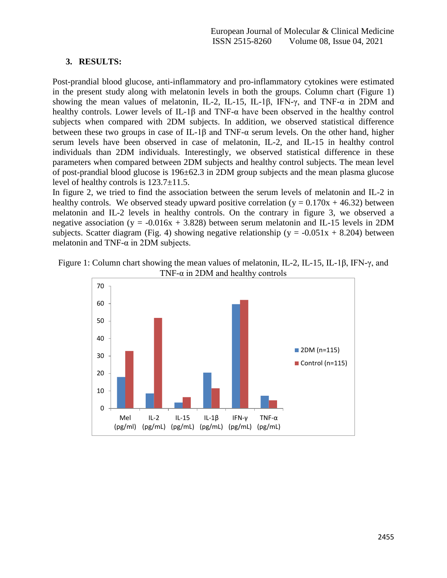## **3. RESULTS:**

Post-prandial blood glucose, anti-inflammatory and pro-inflammatory cytokines were estimated in the present study along with melatonin levels in both the groups. Column chart (Figure 1) showing the mean values of melatonin, IL-2, IL-15, IL-1β, IFN- $\gamma$ , and TNF- $\alpha$  in 2DM and healthy controls. Lower levels of IL-1β and TNF- $\alpha$  have been observed in the healthy control subjects when compared with 2DM subjects. In addition, we observed statistical difference between these two groups in case of IL-1 $\beta$  and TNF- $\alpha$  serum levels. On the other hand, higher serum levels have been observed in case of melatonin, IL-2, and IL-15 in healthy control individuals than 2DM individuals. Interestingly, we observed statistical difference in these parameters when compared between 2DM subjects and healthy control subjects. The mean level of post-prandial blood glucose is 196±62.3 in 2DM group subjects and the mean plasma glucose level of healthy controls is 123.7±11.5.

In figure 2, we tried to find the association between the serum levels of melatonin and IL-2 in healthy controls. We observed steady upward positive correlation ( $y = 0.170x + 46.32$ ) between melatonin and IL-2 levels in healthy controls. On the contrary in figure 3, we observed a negative association (y =  $-0.016x + 3.828$ ) between serum melatonin and IL-15 levels in 2DM subjects. Scatter diagram (Fig. 4) showing negative relationship ( $y = -0.051x + 8.204$ ) between melatonin and TNF- $\alpha$  in 2DM subjects.



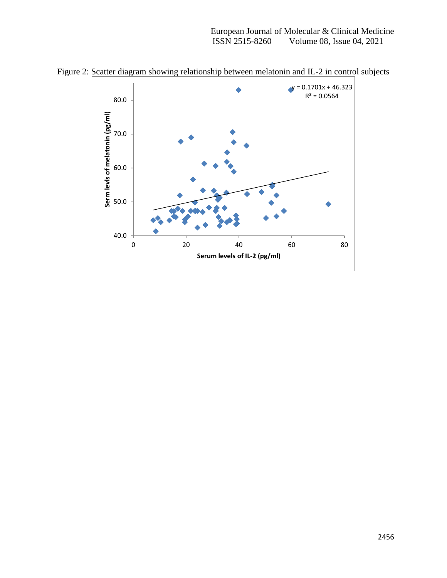European Journal of Molecular & Clinical Medicine<br>ISSN 2515-8260 Volume 08, Issue 04, 2021 Volume 08, Issue 04, 2021



Figure 2: Scatter diagram showing relationship between melatonin and IL-2 in control subjects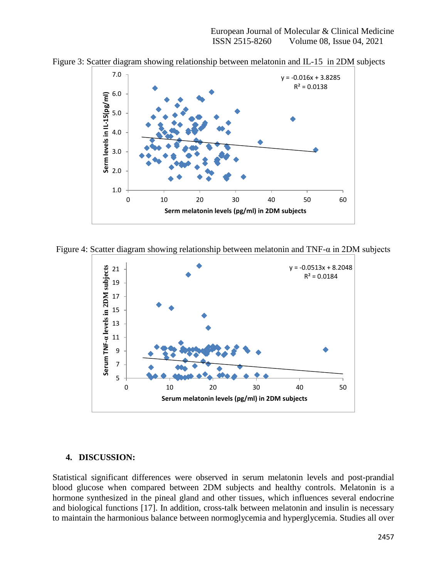

Figure 3: Scatter diagram showing relationship between melatonin and IL-15 in 2DM subjects

Figure 4: Scatter diagram showing relationship between melatonin and TNF-α in 2DM subjects



### **4. DISCUSSION:**

Statistical significant differences were observed in serum melatonin levels and post-prandial blood glucose when compared between 2DM subjects and healthy controls. Melatonin is a hormone synthesized in the pineal gland and other tissues, which influences several endocrine and biological functions [17]. In addition, cross-talk between melatonin and insulin is necessary to maintain the harmonious balance between normoglycemia and hyperglycemia. Studies all over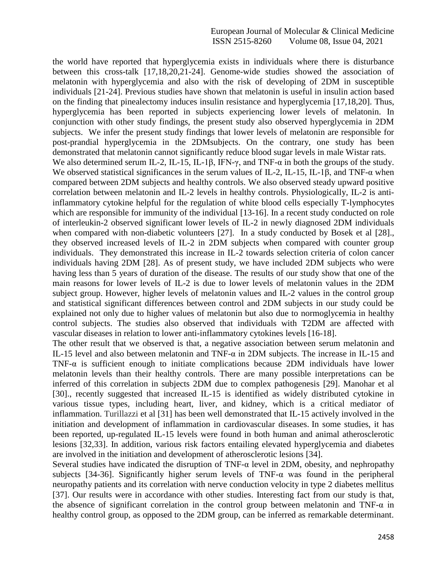the world have reported that hyperglycemia exists in individuals where there is disturbance between this cross-talk [17,18,20,21-24]. Genome-wide studies showed the association of melatonin with hyperglycemia and also with the risk of developing of 2DM in susceptible individuals [21-24]. Previous studies have shown that melatonin is useful in insulin action based on the finding that pinealectomy induces insulin resistance and hyperglycemia [17,18,20]. Thus, hyperglycemia has been reported in subjects experiencing lower levels of melatonin. In conjunction with other study findings, the present study also observed hyperglycemia in 2DM subjects. We infer the present study findings that lower levels of melatonin are responsible for post-prandial hyperglycemia in the 2DMsubjects. On the contrary, one study has been demonstrated that melatonin cannot significantly reduce blood sugar levels in male Wistar rats. We also determined serum IL-2, IL-15, IL-1β, IFN- $\gamma$ , and TNF- $\alpha$  in both the groups of the study. We observed statistical significances in the serum values of IL-2, IL-15, IL-1 $\beta$ , and TNF- $\alpha$  when compared between 2DM subjects and healthy controls. We also observed steady upward positive correlation between melatonin and IL-2 levels in healthy controls. Physiologically, IL-2 is antiinflammatory cytokine helpful for the regulation of white blood cells especially T-lymphocytes which are responsible for immunity of the individual [13-16]. In a recent study conducted on role of interleukin-2 observed significant lower levels of IL-2 in newly diagnosed 2DM individuals when compared with non-diabetic volunteers [27]. In a study conducted by Bosek et al [28]., they observed increased levels of IL-2 in 2DM subjects when compared with counter group individuals. They demonstrated this increase in IL-2 towards selection criteria of colon cancer individuals having 2DM [28]. As of present study, we have included 2DM subjects who were having less than 5 years of duration of the disease. The results of our study show that one of the main reasons for lower levels of IL-2 is due to lower levels of melatonin values in the 2DM subject group. However, higher levels of melatonin values and IL-2 values in the control group and statistical significant differences between control and 2DM subjects in our study could be explained not only due to higher values of melatonin but also due to normoglycemia in healthy control subjects. The studies also observed that individuals with T2DM are affected with vascular diseases in relation to lower anti-inflammatory cytokines levels [16-18].

The other result that we observed is that, a negative association between serum melatonin and IL-15 level and also between melatonin and TNF-α in 2DM subjects. The increase in IL-15 and TNF- $\alpha$  is sufficient enough to initiate complications because 2DM individuals have lower melatonin levels than their healthy controls. There are many possible interpretations can be inferred of this correlation in subjects 2DM due to complex pathogenesis [29]. Manohar et al [30]., recently suggested that increased IL-15 is identified as widely distributed cytokine in various tissue types, including heart, liver, and kidney, which is a critical mediator of inflammation. Turillazzi et al [31] has been well demonstrated that IL-15 actively involved in the initiation and development of inflammation in cardiovascular diseases. In some studies, it has been reported, up-regulated IL-15 levels were found in both human and animal atherosclerotic lesions [32,33]. In addition, various risk factors entailing elevated hyperglycemia and diabetes are involved in the initiation and development of atherosclerotic lesions [34].

Several studies have indicated the disruption of TNF- $\alpha$  level in 2DM, obesity, and nephropathy subjects [34-36]. Significantly higher serum levels of TNF- $\alpha$  was found in the peripheral neuropathy patients and its correlation with nerve conduction velocity in type 2 diabetes mellitus [37]. Our results were in accordance with other studies. Interesting fact from our study is that, the absence of significant correlation in the control group between melatonin and TNF- $\alpha$  in healthy control group, as opposed to the 2DM group, can be inferred as remarkable determinant.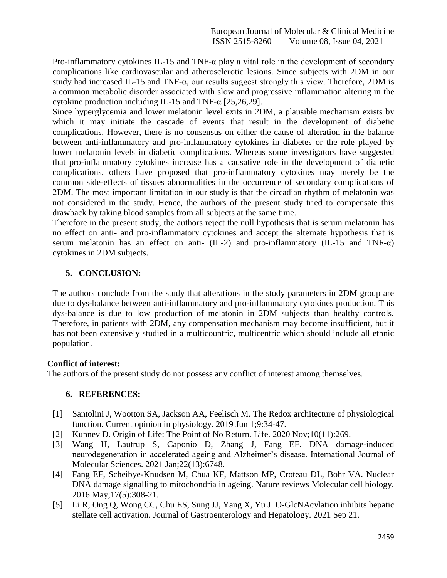Pro-inflammatory cytokines IL-15 and TNF- $\alpha$  play a vital role in the development of secondary complications like cardiovascular and atherosclerotic lesions. Since subjects with 2DM in our study had increased IL-15 and TNF-α, our results suggest strongly this view. Therefore, 2DM is a common metabolic disorder associated with slow and progressive inflammation altering in the cytokine production including IL-15 and TNF- $\alpha$  [25,26,29].

Since hyperglycemia and lower melatonin level exits in 2DM, a plausible mechanism exists by which it may initiate the cascade of events that result in the development of diabetic complications. However, there is no consensus on either the cause of alteration in the balance between anti-inflammatory and pro-inflammatory cytokines in diabetes or the role played by lower melatonin levels in diabetic complications. Whereas some investigators have suggested that pro-inflammatory cytokines increase has a causative role in the development of diabetic complications, others have proposed that pro-inflammatory cytokines may merely be the common side-effects of tissues abnormalities in the occurrence of secondary complications of 2DM. The most important limitation in our study is that the circadian rhythm of melatonin was not considered in the study. Hence, the authors of the present study tried to compensate this drawback by taking blood samples from all subjects at the same time.

Therefore in the present study, the authors reject the null hypothesis that is serum melatonin has no effect on anti- and pro-inflammatory cytokines and accept the alternate hypothesis that is serum melatonin has an effect on anti- (IL-2) and pro-inflammatory (IL-15 and TNF- $\alpha$ ) cytokines in 2DM subjects.

## **5. CONCLUSION:**

The authors conclude from the study that alterations in the study parameters in 2DM group are due to dys-balance between anti-inflammatory and pro-inflammatory cytokines production. This dys-balance is due to low production of melatonin in 2DM subjects than healthy controls. Therefore, in patients with 2DM, any compensation mechanism may become insufficient, but it has not been extensively studied in a multicountric, multicentric which should include all ethnic population.

### **Conflict of interest:**

The authors of the present study do not possess any conflict of interest among themselves.

### **6. REFERENCES:**

- [1] Santolini J, Wootton SA, Jackson AA, Feelisch M. The Redox architecture of physiological function. Current opinion in physiology. 2019 Jun 1;9:34-47.
- [2] Kunnev D. Origin of Life: The Point of No Return. Life. 2020 Nov;10(11):269.
- [3] Wang H, Lautrup S, Caponio D, Zhang J, Fang EF. DNA damage-induced neurodegeneration in accelerated ageing and Alzheimer's disease. International Journal of Molecular Sciences. 2021 Jan;22(13):6748.
- [4] Fang EF, Scheibye-Knudsen M, Chua KF, Mattson MP, Croteau DL, Bohr VA. Nuclear DNA damage signalling to mitochondria in ageing. Nature reviews Molecular cell biology. 2016 May;17(5):308-21.
- [5] Li R, Ong Q, Wong CC, Chu ES, Sung JJ, Yang X, Yu J. O‐GlcNAcylation inhibits hepatic stellate cell activation. Journal of Gastroenterology and Hepatology. 2021 Sep 21.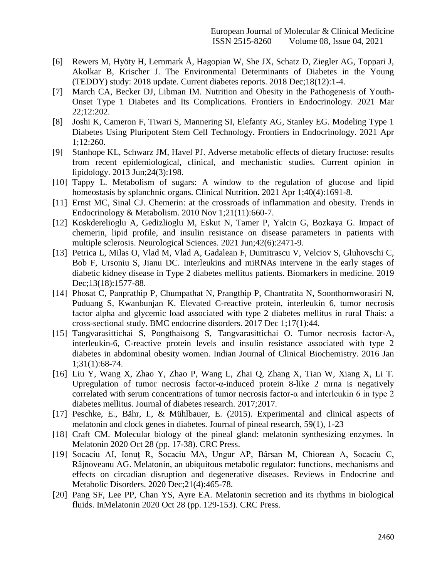- [6] Rewers M, Hyöty H, Lernmark Å, Hagopian W, She JX, Schatz D, Ziegler AG, Toppari J, Akolkar B, Krischer J. The Environmental Determinants of Diabetes in the Young (TEDDY) study: 2018 update. Current diabetes reports. 2018 Dec;18(12):1-4.
- [7] March CA, Becker DJ, Libman IM. Nutrition and Obesity in the Pathogenesis of Youth-Onset Type 1 Diabetes and Its Complications. Frontiers in Endocrinology. 2021 Mar 22;12:202.
- [8] Joshi K, Cameron F, Tiwari S, Mannering SI, Elefanty AG, Stanley EG. Modeling Type 1 Diabetes Using Pluripotent Stem Cell Technology. Frontiers in Endocrinology. 2021 Apr 1;12:260.
- [9] Stanhope KL, Schwarz JM, Havel PJ. Adverse metabolic effects of dietary fructose: results from recent epidemiological, clinical, and mechanistic studies. Current opinion in lipidology. 2013 Jun;24(3):198.
- [10] Tappy L. Metabolism of sugars: A window to the regulation of glucose and lipid homeostasis by splanchnic organs. Clinical Nutrition. 2021 Apr 1;40(4):1691-8.
- [11] Ernst MC, Sinal CJ. Chemerin: at the crossroads of inflammation and obesity. Trends in Endocrinology & Metabolism. 2010 Nov 1;21(11):660-7.
- [12] Koskderelioglu A, Gedizlioglu M, Eskut N, Tamer P, Yalcin G, Bozkaya G. Impact of chemerin, lipid profile, and insulin resistance on disease parameters in patients with multiple sclerosis. Neurological Sciences. 2021 Jun;42(6):2471-9.
- [13] Petrica L, Milas O, Vlad M, Vlad A, Gadalean F, Dumitrascu V, Velciov S, Gluhovschi C, Bob F, Ursoniu S, Jianu DC. Interleukins and miRNAs intervene in the early stages of diabetic kidney disease in Type 2 diabetes mellitus patients. Biomarkers in medicine. 2019 Dec;13(18):1577-88.
- [14] Phosat C, Panprathip P, Chumpathat N, Prangthip P, Chantratita N, Soonthornworasiri N, Puduang S, Kwanbunjan K. Elevated C-reactive protein, interleukin 6, tumor necrosis factor alpha and glycemic load associated with type 2 diabetes mellitus in rural Thais: a cross-sectional study. BMC endocrine disorders. 2017 Dec 1;17(1):44.
- [15] Tangvarasittichai S, Pongthaisong S, Tangvarasittichai O. Tumor necrosis factor-A, interleukin-6, C-reactive protein levels and insulin resistance associated with type 2 diabetes in abdominal obesity women. Indian Journal of Clinical Biochemistry. 2016 Jan 1;31(1):68-74.
- [16] Liu Y, Wang X, Zhao Y, Zhao P, Wang L, Zhai Q, Zhang X, Tian W, Xiang X, Li T. Upregulation of tumor necrosis factor-α-induced protein 8-like 2 mrna is negatively correlated with serum concentrations of tumor necrosis factor-α and interleukin 6 in type 2 diabetes mellitus. Journal of diabetes research. 2017;2017.
- [17] Peschke, E., Bähr, I., & Mühlbauer, E. (2015). Experimental and clinical aspects of melatonin and clock genes in diabetes. Journal of pineal research, 59(1), 1-23
- [18] Craft CM. Molecular biology of the pineal gland: melatonin synthesizing enzymes. In Melatonin 2020 Oct 28 (pp. 17-38). CRC Press.
- [19] Socaciu AI, Ionuţ R, Socaciu MA, Ungur AP, Bârsan M, Chiorean A, Socaciu C, Râjnoveanu AG. Melatonin, an ubiquitous metabolic regulator: functions, mechanisms and effects on circadian disruption and degenerative diseases. Reviews in Endocrine and Metabolic Disorders. 2020 Dec;21(4):465-78.
- [20] Pang SF, Lee PP, Chan YS, Ayre EA. Melatonin secretion and its rhythms in biological fluids. InMelatonin 2020 Oct 28 (pp. 129-153). CRC Press.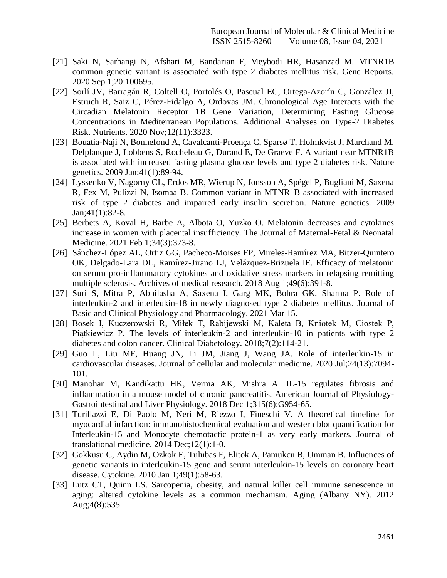- [21] Saki N, Sarhangi N, Afshari M, Bandarian F, Meybodi HR, Hasanzad M. MTNR1B common genetic variant is associated with type 2 diabetes mellitus risk. Gene Reports. 2020 Sep 1;20:100695.
- [22] Sorlí JV, Barragán R, Coltell O, Portolés O, Pascual EC, Ortega-Azorín C, González JI, Estruch R, Saiz C, Pérez-Fidalgo A, Ordovas JM. Chronological Age Interacts with the Circadian Melatonin Receptor 1B Gene Variation, Determining Fasting Glucose Concentrations in Mediterranean Populations. Additional Analyses on Type-2 Diabetes Risk. Nutrients. 2020 Nov;12(11):3323.
- [23] Bouatia-Naji N, Bonnefond A, Cavalcanti-Proença C, Sparsø T, Holmkvist J, Marchand M, Delplanque J, Lobbens S, Rocheleau G, Durand E, De Graeve F. A variant near MTNR1B is associated with increased fasting plasma glucose levels and type 2 diabetes risk. Nature genetics. 2009 Jan;41(1):89-94.
- [24] Lyssenko V, Nagorny CL, Erdos MR, Wierup N, Jonsson A, Spégel P, Bugliani M, Saxena R, Fex M, Pulizzi N, Isomaa B. Common variant in MTNR1B associated with increased risk of type 2 diabetes and impaired early insulin secretion. Nature genetics. 2009 Jan;41(1):82-8.
- [25] Berbets A, Koval H, Barbe A, Albota O, Yuzko O. Melatonin decreases and cytokines increase in women with placental insufficiency. The Journal of Maternal-Fetal & Neonatal Medicine. 2021 Feb 1;34(3):373-8.
- [26] Sánchez-López AL, Ortiz GG, Pacheco-Moises FP, Mireles-Ramírez MA, Bitzer-Quintero OK, Delgado-Lara DL, Ramírez-Jirano LJ, Velázquez-Brizuela IE. Efficacy of melatonin on serum pro-inflammatory cytokines and oxidative stress markers in relapsing remitting multiple sclerosis. Archives of medical research. 2018 Aug 1;49(6):391-8.
- [27] Suri S, Mitra P, Abhilasha A, Saxena I, Garg MK, Bohra GK, Sharma P. Role of interleukin-2 and interleukin-18 in newly diagnosed type 2 diabetes mellitus. Journal of Basic and Clinical Physiology and Pharmacology. 2021 Mar 15.
- [28] Bosek I, Kuczerowski R, Miłek T, Rabijewski M, Kaleta B, Kniotek M, Ciostek P, Piątkiewicz P. The levels of interleukin-2 and interleukin-10 in patients with type 2 diabetes and colon cancer. Clinical Diabetology. 2018;7(2):114-21.
- [29] Guo L, Liu MF, Huang JN, Li JM, Jiang J, Wang JA. Role of interleukin‐15 in cardiovascular diseases. Journal of cellular and molecular medicine. 2020 Jul;24(13):7094- 101.
- [30] Manohar M, Kandikattu HK, Verma AK, Mishra A. IL-15 regulates fibrosis and inflammation in a mouse model of chronic pancreatitis. American Journal of Physiology-Gastrointestinal and Liver Physiology. 2018 Dec 1;315(6):G954-65.
- [31] Turillazzi E, Di Paolo M, Neri M, Riezzo I, Fineschi V. A theoretical timeline for myocardial infarction: immunohistochemical evaluation and western blot quantification for Interleukin-15 and Monocyte chemotactic protein-1 as very early markers. Journal of translational medicine. 2014 Dec;12(1):1-0.
- [32] Gokkusu C, Aydin M, Ozkok E, Tulubas F, Elitok A, Pamukcu B, Umman B. Influences of genetic variants in interleukin-15 gene and serum interleukin-15 levels on coronary heart disease. Cytokine. 2010 Jan 1;49(1):58-63.
- [33] Lutz CT, Quinn LS. Sarcopenia, obesity, and natural killer cell immune senescence in aging: altered cytokine levels as a common mechanism. Aging (Albany NY). 2012 Aug;4(8):535.